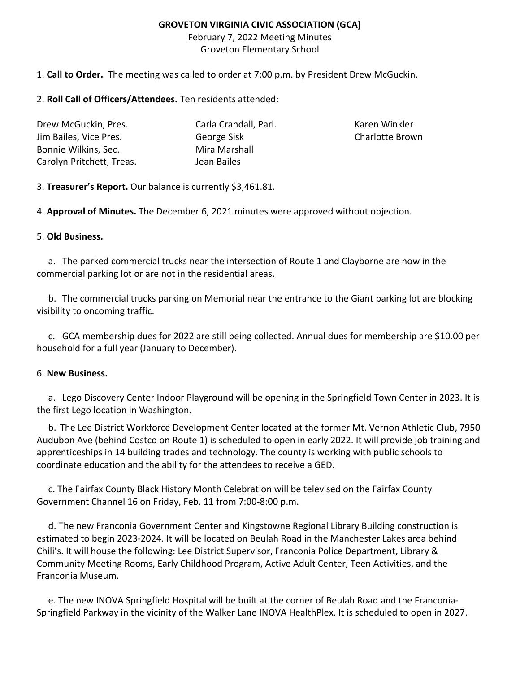## **GROVETON VIRGINIA CIVIC ASSOCIATION (GCA)**

February 7, 2022 Meeting Minutes Groveton Elementary School

1. **Call to Order.** The meeting was called to order at 7:00 p.m. by President Drew McGuckin.

2. **Roll Call of Officers/Attendees.** Ten residents attended:

| Drew McGuckin, Pres.      | Carla Crandall, Parl. |
|---------------------------|-----------------------|
| Jim Bailes, Vice Pres.    | George Sisk           |
| Bonnie Wilkins, Sec.      | Mira Marshall         |
| Carolyn Pritchett, Treas. | Jean Bailes           |

Karen Winkler Charlotte Brown

3. **Treasurer's Report.** Our balance is currently \$3,461.81.

4. **Approval of Minutes.** The December 6, 2021 minutes were approved without objection.

## 5. **Old Business.**

a. The parked commercial trucks near the intersection of Route 1 and Clayborne are now in the commercial parking lot or are not in the residential areas.

b. The commercial trucks parking on Memorial near the entrance to the Giant parking lot are blocking visibility to oncoming traffic.

c. GCA membership dues for 2022 are still being collected. Annual dues for membership are \$10.00 per household for a full year (January to December).

## 6. **New Business.**

a. Lego Discovery Center Indoor Playground will be opening in the Springfield Town Center in 2023. It is the first Lego location in Washington.

b. The Lee District Workforce Development Center located at the former Mt. Vernon Athletic Club, 7950 Audubon Ave (behind Costco on Route 1) is scheduled to open in early 2022. It will provide job training and apprenticeships in 14 building trades and technology. The county is working with public schools to coordinate education and the ability for the attendees to receive a GED.

c. The Fairfax County Black History Month Celebration will be televised on the Fairfax County Government Channel 16 on Friday, Feb. 11 from 7:00-8:00 p.m.

d. The new Franconia Government Center and Kingstowne Regional Library Building construction is estimated to begin 2023-2024. It will be located on Beulah Road in the Manchester Lakes area behind Chili's. It will house the following: Lee District Supervisor, Franconia Police Department, Library & Community Meeting Rooms, Early Childhood Program, Active Adult Center, Teen Activities, and the Franconia Museum.

e. The new INOVA Springfield Hospital will be built at the corner of Beulah Road and the Franconia-Springfield Parkway in the vicinity of the Walker Lane INOVA HealthPlex. It is scheduled to open in 2027.